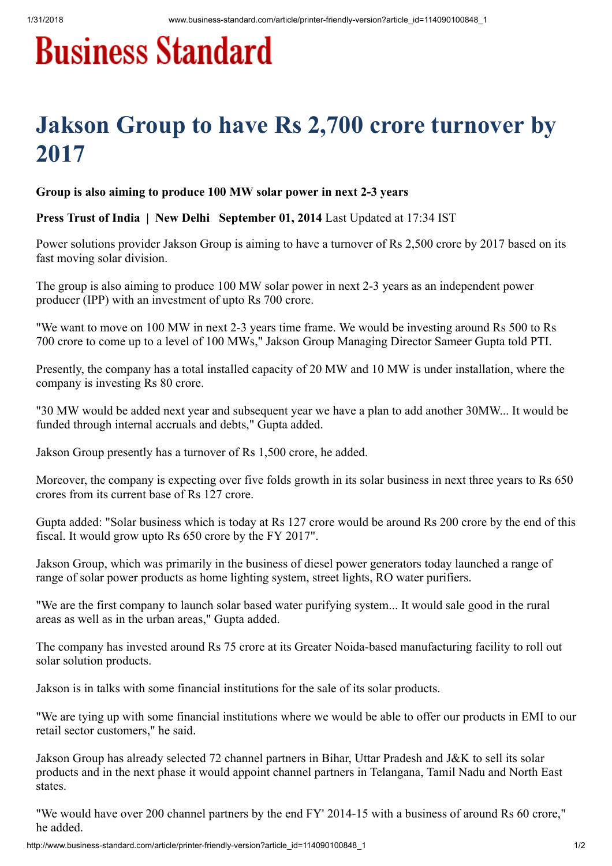## **Business Standard**

## Jakson Group to have Rs 2,700 crore turnover by 2017

Group is also aiming to produce 100 MW solar power in next 2-3 years

Press Trust of India | New Delhi September 01, 2014 Last Updated at 17:34 IST

Power solutions provider Jakson Group is aiming to have a turnover of Rs 2,500 crore by 2017 based on its fast moving solar division.

The group is also aiming to produce 100 MW solar power in next 2-3 years as an independent power producer (IPP) with an investment of upto Rs 700 crore.

"We want to move on 100 MW in next 2-3 years time frame. We would be investing around Rs 500 to Rs 700 crore to come up to a level of 100 MWs," Jakson Group Managing Director Sameer Gupta told PTI.

Presently, the company has a total installed capacity of 20 MW and 10 MW is under installation, where the company is investing Rs 80 crore.

"30 MW would be added next year and subsequent year we have a plan to add another 30MW... It would be funded through internal accruals and debts," Gupta added.

Jakson Group presently has a turnover of Rs 1,500 crore, he added.

Moreover, the company is expecting over five folds growth in its solar business in next three years to Rs 650 crores from its current base of Rs 127 crore.

Gupta added: "Solar business which is today at Rs 127 crore would be around Rs 200 crore by the end of this fiscal. It would grow upto Rs 650 crore by the FY 2017".

Jakson Group, which was primarily in the business of diesel power generators today launched a range of range of solar power products as home lighting system, street lights, RO water purifiers.

"We are the first company to launch solar based water purifying system... It would sale good in the rural areas as well as in the urban areas," Gupta added.

The company has invested around Rs 75 crore at its Greater Noida-based manufacturing facility to roll out solar solution products.

Jakson is in talks with some financial institutions for the sale of its solar products.

"We are tying up with some financial institutions where we would be able to offer our products in EMI to our retail sector customers," he said.

Jakson Group has already selected 72 channel partners in Bihar, Uttar Pradesh and J&K to sell its solar products and in the next phase it would appoint channel partners in Telangana, Tamil Nadu and North East states.

"We would have over 200 channel partners by the end FY' 2014-15 with a business of around Rs 60 crore," he added.